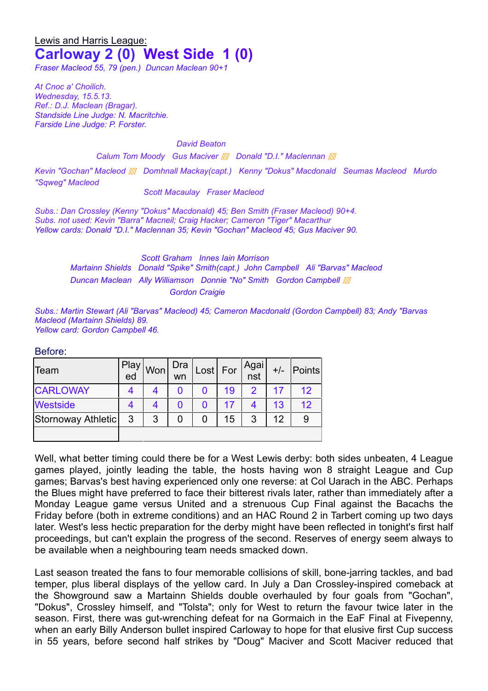# Lewis and Harris League: **Carloway 2 (0) West Side 1 (0)**

*Fraser Macleod 55, 79 (pen.) Duncan Maclean 90+1*

*At Cnoc a' Choilich. Wednesday, 15.5.13. Ref.: D.J. Maclean (Bragar). Standside Line Judge: N. Macritchie. Farside Line Judge: P. Forster.*

*David Beaton*

*Calum Tom Moody Gus Maciver ▩ Donald "D.I." Maclennan ▩*

*Kevin "Gochan" Macleod ▩ Domhnall Mackay(capt.) Kenny "Dokus" Macdonald Seumas Macleod Murdo "Sqweg" Macleod*

*Scott Macaulay Fraser Macleod*

*Subs.: Dan Crossley (Kenny "Dokus" Macdonald) 45; Ben Smith (Fraser Macleod) 90+4. Subs. not used: Kevin "Barra" Macneil; Craig Hacker; Cameron "Tiger" Macarthur Yellow cards: Donald "D.I." Maclennan 35; Kevin "Gochan" Macleod 45; Gus Maciver 90.*

> *Scott Graham Innes Iain Morrison Martainn Shields Donald "Spike" Smith(capt.) John Campbell Ali "Barvas" Macleod Duncan Maclean Ally Williamson Donnie "No" Smith Gordon Campbell ▩ Gordon Craigie*

*Subs.: Martin Stewart (Ali "Barvas" Macleod) 45; Cameron Macdonald (Gordon Campbell) 83; Andy "Barvas Macleod (Martainn Shields) 89. Yellow card: Gordon Campbell 46.* 

#### Before:

| Team               | Play<br>ed | Won | Dra<br>wn | Look | For | Agai<br>nst   | $+/-$ | Points |
|--------------------|------------|-----|-----------|------|-----|---------------|-------|--------|
| <b>CARLOWAY</b>    |            |     |           |      | 19  | $\mathcal{P}$ |       | 12     |
| <b>Westside</b>    |            |     |           |      |     |               | 13    | 12     |
| Stornoway Athletic | 3          | 3   |           |      | 15  | 3             | 12    |        |
|                    |            |     |           |      |     |               |       |        |

Well, what better timing could there be for a West Lewis derby: both sides unbeaten, 4 League games played, jointly leading the table, the hosts having won 8 straight League and Cup games; Barvas's best having experienced only one reverse: at Col Uarach in the ABC. Perhaps the Blues might have preferred to face their bitterest rivals later, rather than immediately after a Monday League game versus United and a strenuous Cup Final against the Bacachs the Friday before (both in extreme conditions) and an HAC Round 2 in Tarbert coming up two days later. West's less hectic preparation for the derby might have been reflected in tonight's first half proceedings, but can't explain the progress of the second. Reserves of energy seem always to be available when a neighbouring team needs smacked down.

Last season treated the fans to four memorable collisions of skill, bone-jarring tackles, and bad temper, plus liberal displays of the yellow card. In July a Dan Crossley-inspired comeback at the Showground saw a Martainn Shields double overhauled by four goals from "Gochan", "Dokus", Crossley himself, and "Tolsta"; only for West to return the favour twice later in the season. First, there was gut-wrenching defeat for na Gormaich in the EaF Final at Fivepenny, when an early Billy Anderson bullet inspired Carloway to hope for that elusive first Cup success in 55 years, before second half strikes by "Doug" Maciver and Scott Maciver reduced that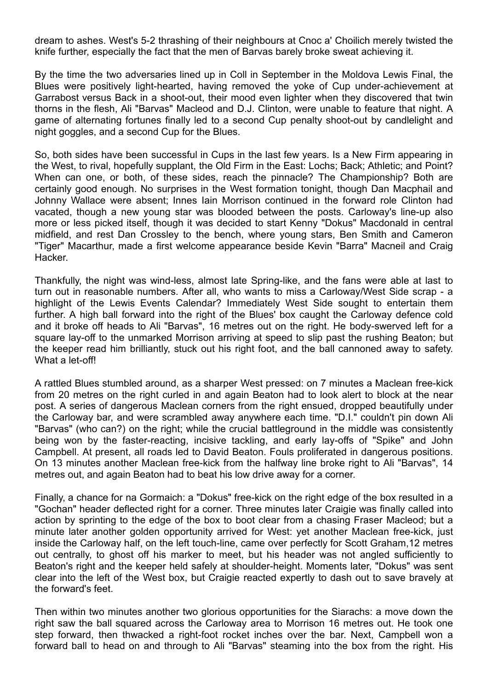dream to ashes. West's 5-2 thrashing of their neighbours at Cnoc a' Choilich merely twisted the knife further, especially the fact that the men of Barvas barely broke sweat achieving it.

By the time the two adversaries lined up in Coll in September in the Moldova Lewis Final, the Blues were positively light-hearted, having removed the yoke of Cup under-achievement at Garrabost versus Back in a shoot-out, their mood even lighter when they discovered that twin thorns in the flesh, Ali "Barvas" Macleod and D.J. Clinton, were unable to feature that night. A game of alternating fortunes finally led to a second Cup penalty shoot-out by candlelight and night goggles, and a second Cup for the Blues.

So, both sides have been successful in Cups in the last few years. Is a New Firm appearing in the West, to rival, hopefully supplant, the Old Firm in the East: Lochs; Back; Athletic; and Point? When can one, or both, of these sides, reach the pinnacle? The Championship? Both are certainly good enough. No surprises in the West formation tonight, though Dan Macphail and Johnny Wallace were absent; Innes Iain Morrison continued in the forward role Clinton had vacated, though a new young star was blooded between the posts. Carloway's line-up also more or less picked itself, though it was decided to start Kenny "Dokus" Macdonald in central midfield, and rest Dan Crossley to the bench, where young stars, Ben Smith and Cameron "Tiger" Macarthur, made a first welcome appearance beside Kevin "Barra" Macneil and Craig **Hacker** 

Thankfully, the night was wind-less, almost late Spring-like, and the fans were able at last to turn out in reasonable numbers. After all, who wants to miss a Carloway/West Side scrap - a highlight of the Lewis Events Calendar? Immediately West Side sought to entertain them further. A high ball forward into the right of the Blues' box caught the Carloway defence cold and it broke off heads to Ali "Barvas", 16 metres out on the right. He body-swerved left for a square lay-off to the unmarked Morrison arriving at speed to slip past the rushing Beaton; but the keeper read him brilliantly, stuck out his right foot, and the ball cannoned away to safety. What a let-off!

A rattled Blues stumbled around, as a sharper West pressed: on 7 minutes a Maclean free-kick from 20 metres on the right curled in and again Beaton had to look alert to block at the near post. A series of dangerous Maclean corners from the right ensued, dropped beautifully under the Carloway bar, and were scrambled away anywhere each time. "D.I." couldn't pin down Ali "Barvas" (who can?) on the right; while the crucial battleground in the middle was consistently being won by the faster-reacting, incisive tackling, and early lay-offs of "Spike" and John Campbell. At present, all roads led to David Beaton. Fouls proliferated in dangerous positions. On 13 minutes another Maclean free-kick from the halfway line broke right to Ali "Barvas", 14 metres out, and again Beaton had to beat his low drive away for a corner.

Finally, a chance for na Gormaich: a "Dokus" free-kick on the right edge of the box resulted in a "Gochan" header deflected right for a corner. Three minutes later Craigie was finally called into action by sprinting to the edge of the box to boot clear from a chasing Fraser Macleod; but a minute later another golden opportunity arrived for West: yet another Maclean free-kick, just inside the Carloway half, on the left touch-line, came over perfectly for Scott Graham,12 metres out centrally, to ghost off his marker to meet, but his header was not angled sufficiently to Beaton's right and the keeper held safely at shoulder-height. Moments later, "Dokus" was sent clear into the left of the West box, but Craigie reacted expertly to dash out to save bravely at the forward's feet.

Then within two minutes another two glorious opportunities for the Siarachs: a move down the right saw the ball squared across the Carloway area to Morrison 16 metres out. He took one step forward, then thwacked a right-foot rocket inches over the bar. Next, Campbell won a forward ball to head on and through to Ali "Barvas" steaming into the box from the right. His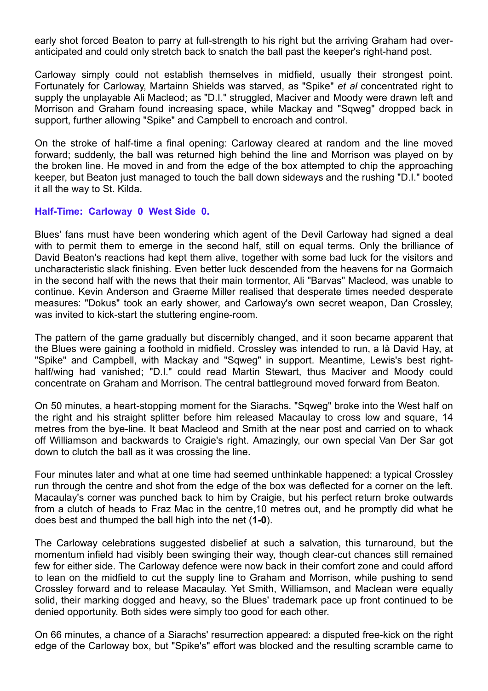early shot forced Beaton to parry at full-strength to his right but the arriving Graham had overanticipated and could only stretch back to snatch the ball past the keeper's right-hand post.

Carloway simply could not establish themselves in midfield, usually their strongest point. Fortunately for Carloway, Martainn Shields was starved, as "Spike" *et al* concentrated right to supply the unplayable Ali Macleod; as "D.I." struggled, Maciver and Moody were drawn left and Morrison and Graham found increasing space, while Mackay and "Sqweg" dropped back in support, further allowing "Spike" and Campbell to encroach and control.

On the stroke of half-time a final opening: Carloway cleared at random and the line moved forward; suddenly, the ball was returned high behind the line and Morrison was played on by the broken line. He moved in and from the edge of the box attempted to chip the approaching keeper, but Beaton just managed to touch the ball down sideways and the rushing "D.I." booted it all the way to St. Kilda.

### **Half-Time: Carloway 0 West Side 0.**

Blues' fans must have been wondering which agent of the Devil Carloway had signed a deal with to permit them to emerge in the second half, still on equal terms. Only the brilliance of David Beaton's reactions had kept them alive, together with some bad luck for the visitors and uncharacteristic slack finishing. Even better luck descended from the heavens for na Gormaich in the second half with the news that their main tormentor, Ali "Barvas" Macleod, was unable to continue. Kevin Anderson and Graeme Miller realised that desperate times needed desperate measures: "Dokus" took an early shower, and Carloway's own secret weapon, Dan Crossley, was invited to kick-start the stuttering engine-room.

The pattern of the game gradually but discernibly changed, and it soon became apparent that the Blues were gaining a foothold in midfield. Crossley was intended to run, a là David Hay, at "Spike" and Campbell, with Mackay and "Sqweg" in support. Meantime, Lewis's best righthalf/wing had vanished; "D.I." could read Martin Stewart, thus Maciver and Moody could concentrate on Graham and Morrison. The central battleground moved forward from Beaton.

On 50 minutes, a heart-stopping moment for the Siarachs. "Sqweg" broke into the West half on the right and his straight splitter before him released Macaulay to cross low and square, 14 metres from the bye-line. It beat Macleod and Smith at the near post and carried on to whack off Williamson and backwards to Craigie's right. Amazingly, our own special Van Der Sar got down to clutch the ball as it was crossing the line.

Four minutes later and what at one time had seemed unthinkable happened: a typical Crossley run through the centre and shot from the edge of the box was deflected for a corner on the left. Macaulay's corner was punched back to him by Craigie, but his perfect return broke outwards from a clutch of heads to Fraz Mac in the centre,10 metres out, and he promptly did what he does best and thumped the ball high into the net (**1-0**).

The Carloway celebrations suggested disbelief at such a salvation, this turnaround, but the momentum infield had visibly been swinging their way, though clear-cut chances still remained few for either side. The Carloway defence were now back in their comfort zone and could afford to lean on the midfield to cut the supply line to Graham and Morrison, while pushing to send Crossley forward and to release Macaulay. Yet Smith, Williamson, and Maclean were equally solid, their marking dogged and heavy, so the Blues' trademark pace up front continued to be denied opportunity. Both sides were simply too good for each other.

On 66 minutes, a chance of a Siarachs' resurrection appeared: a disputed free-kick on the right edge of the Carloway box, but "Spike's" effort was blocked and the resulting scramble came to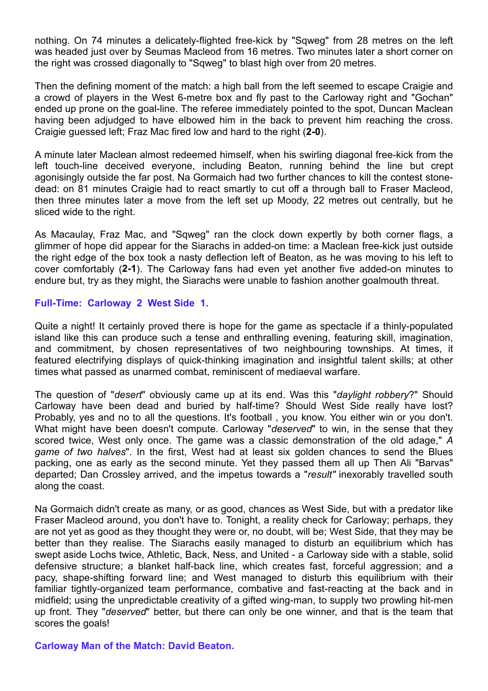nothing. On 74 minutes a delicately-flighted free-kick by "Sqweg" from 28 metres on the left was headed just over by Seumas Macleod from 16 metres. Two minutes later a short corner on the right was crossed diagonally to "Sqweg" to blast high over from 20 metres.

Then the defining moment of the match: a high ball from the left seemed to escape Craigie and a crowd of players in the West 6-metre box and fly past to the Carloway right and "Gochan" ended up prone on the goal-line. The referee immediately pointed to the spot, Duncan Maclean having been adjudged to have elbowed him in the back to prevent him reaching the cross. Craigie guessed left; Fraz Mac fired low and hard to the right (**2-0**).

A minute later Maclean almost redeemed himself, when his swirling diagonal free-kick from the left touch-line deceived everyone, including Beaton, running behind the line but crept agonisingly outside the far post. Na Gormaich had two further chances to kill the contest stonedead: on 81 minutes Craigie had to react smartly to cut off a through ball to Fraser Macleod, then three minutes later a move from the left set up Moody, 22 metres out centrally, but he sliced wide to the right.

As Macaulay, Fraz Mac, and "Sqweg" ran the clock down expertly by both corner flags, a glimmer of hope did appear for the Siarachs in added-on time: a Maclean free-kick just outside the right edge of the box took a nasty deflection left of Beaton, as he was moving to his left to cover comfortably (**2-1**). The Carloway fans had even yet another five added-on minutes to endure but, try as they might, the Siarachs were unable to fashion another goalmouth threat.

### **Full-Time: Carloway 2 West Side 1.**

Quite a night! It certainly proved there is hope for the game as spectacle if a thinly-populated island like this can produce such a tense and enthralling evening, featuring skill, imagination, and commitment, by chosen representatives of two neighbouring townships. At times, it featured electrifying displays of quick-thinking imagination and insightful talent skills; at other times what passed as unarmed combat, reminiscent of mediaeval warfare.

The question of "*desert*" obviously came up at its end. Was this "*daylight robbery*?" Should Carloway have been dead and buried by half-time? Should West Side really have lost? Probably, yes and no to all the questions. It's football , you know. You either win or you don't. What might have been doesn't compute. Carloway "*deserved*" to win, in the sense that they scored twice, West only once. The game was a classic demonstration of the old adage," *A game of two halves*". In the first, West had at least six golden chances to send the Blues packing, one as early as the second minute. Yet they passed them all up Then Ali "Barvas" departed; Dan Crossley arrived, and the impetus towards a "*result"* inexorably travelled south along the coast.

Na Gormaich didn't create as many, or as good, chances as West Side, but with a predator like Fraser Macleod around, you don't have to. Tonight, a reality check for Carloway; perhaps, they are not yet as good as they thought they were or, no doubt, will be; West Side, that they may be better than they realise. The Siarachs easily managed to disturb an equilibrium which has swept aside Lochs twice, Athletic, Back, Ness, and United - a Carloway side with a stable, solid defensive structure; a blanket half-back line, which creates fast, forceful aggression; and a pacy, shape-shifting forward line; and West managed to disturb this equilibrium with their familiar tightly-organized team performance, combative and fast-reacting at the back and in midfield; using the unpredictable creativity of a gifted wing-man, to supply two prowling hit-men up front. They "*deserved*" better, but there can only be one winner, and that is the team that scores the goals!

**Carloway Man of the Match: David Beaton.**